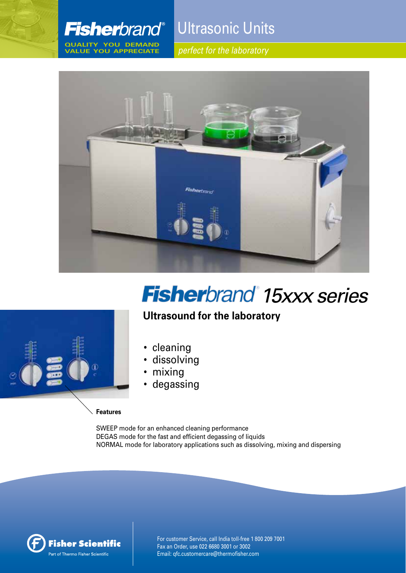

**QUALITY YOU DEMAND VALUE YOU APPRECIATE**

Ultrasonic Units

*perfect for the laboratory*



# **Fisher**brand 15xxx series

### **Ultrasound for the laboratory**



- cleaning
- dissolving
- mixing
- degassing

#### **Features**

SWEEP mode for an enhanced cleaning performance DEGAS mode for the fast and efficient degassing of liquids NORMAL mode for laboratory applications such as dissolving, mixing and dispersing



For customer Service, call India toll-free 1 800 209 7001 Fax an Order, use 022 6680 3001 or 3002 Email: qfc.customercare@thermofisher.com